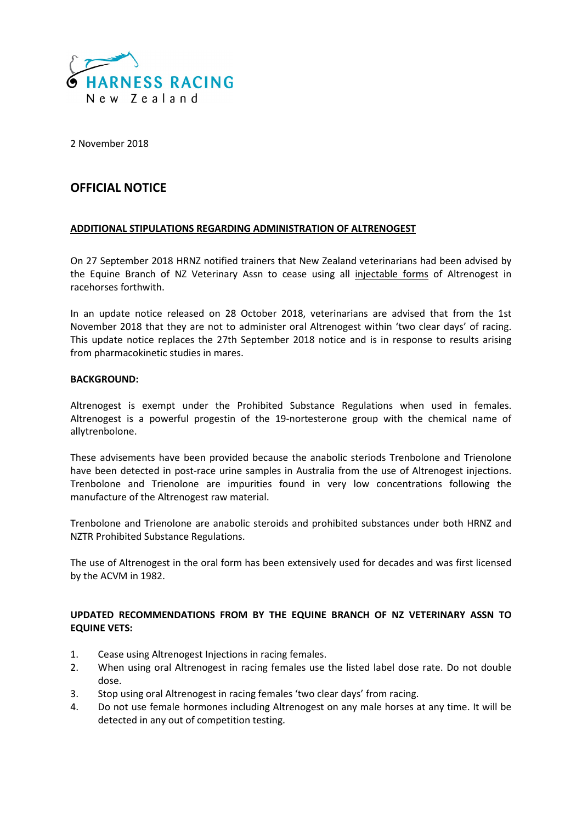

2 November 2018

# **OFFICIAL NOTICE**

### **ADDITIONAL STIPULATIONS REGARDING ADMINISTRATION OF ALTRENOGEST**

On 27 September 2018 HRNZ notified trainers that New Zealand veterinarians had been advised by the Equine Branch of NZ Veterinary Assn to cease using all injectable forms of Altrenogest in racehorses forthwith.

In an update notice released on 28 October 2018, veterinarians are advised that from the 1st November 2018 that they are not to administer oral Altrenogest within 'two clear days' of racing. This update notice replaces the 27th September 2018 notice and is in response to results arising from pharmacokinetic studies in mares.

#### **BACKGROUND:**

Altrenogest is exempt under the Prohibited Substance Regulations when used in females. Altrenogest is a powerful progestin of the 19-nortesterone group with the chemical name of allytrenbolone.

These advisements have been provided because the anabolic steriods Trenbolone and Trienolone have been detected in post-race urine samples in Australia from the use of Altrenogest injections. Trenbolone and Trienolone are impurities found in very low concentrations following the manufacture of the Altrenogest raw material.

Trenbolone and Trienolone are anabolic steroids and prohibited substances under both HRNZ and NZTR Prohibited Substance Regulations.

The use of Altrenogest in the oral form has been extensively used for decades and was first licensed by the ACVM in 1982.

## **UPDATED RECOMMENDATIONS FROM BY THE EQUINE BRANCH OF NZ VETERINARY ASSN TO EQUINE VETS:**

- 1. Cease using Altrenogest Injections in racing females.
- 2. When using oral Altrenogest in racing females use the listed label dose rate. Do not double dose.
- 3. Stop using oral Altrenogest in racing females 'two clear days' from racing.
- 4. Do not use female hormones including Altrenogest on any male horses at any time. It will be detected in any out of competition testing.